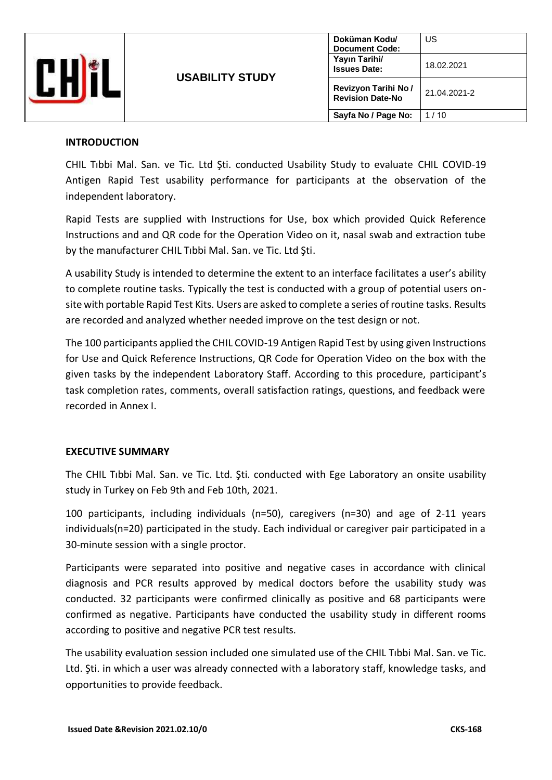

#### **INTRODUCTION**

CHIL Tıbbi Mal. San. ve Tic. Ltd Şti. conducted Usability Study to evaluate CHIL COVID-19 Antigen Rapid Test usability performance for participants at the observation of the independent laboratory.

Rapid Tests are supplied with Instructions for Use, box which provided Quick Reference Instructions and and QR code for the Operation Video on it, nasal swab and extraction tube by the manufacturer CHIL Tıbbi Mal. San. ve Tic. Ltd Şti.

A usability Study is intended to determine the extent to an interface facilitates a user's ability to complete routine tasks. Typically the test is conducted with a group of potential users onsite with portable Rapid Test Kits. Users are asked to complete a series of routine tasks. Results are recorded and analyzed whether needed improve on the test design or not.

The 100 participants applied the CHIL COVID-19 Antigen Rapid Test by using given Instructions for Use and Quick Reference Instructions, QR Code for Operation Video on the box with the given tasks by the independent Laboratory Staff. According to this procedure, participant's task completion rates, comments, overall satisfaction ratings, questions, and feedback were recorded in Annex I.

#### **EXECUTIVE SUMMARY**

The CHIL Tıbbi Mal. San. ve Tic. Ltd. Şti. conducted with Ege Laboratory an onsite usability study in Turkey on Feb 9th and Feb 10th, 2021.

100 participants, including individuals (n=50), caregivers (n=30) and age of 2-11 years individuals(n=20) participated in the study. Each individual or caregiver pair participated in a 30-minute session with a single proctor.

Participants were separated into positive and negative cases in accordance with clinical diagnosis and PCR results approved by medical doctors before the usability study was conducted. 32 participants were confirmed clinically as positive and 68 participants were confirmed as negative. Participants have conducted the usability study in different rooms according to positive and negative PCR test results.

The usability evaluation session included one simulated use of the CHIL Tıbbi Mal. San. ve Tic. Ltd. Şti. in which a user was already connected with a laboratory staff, knowledge tasks, and opportunities to provide feedback.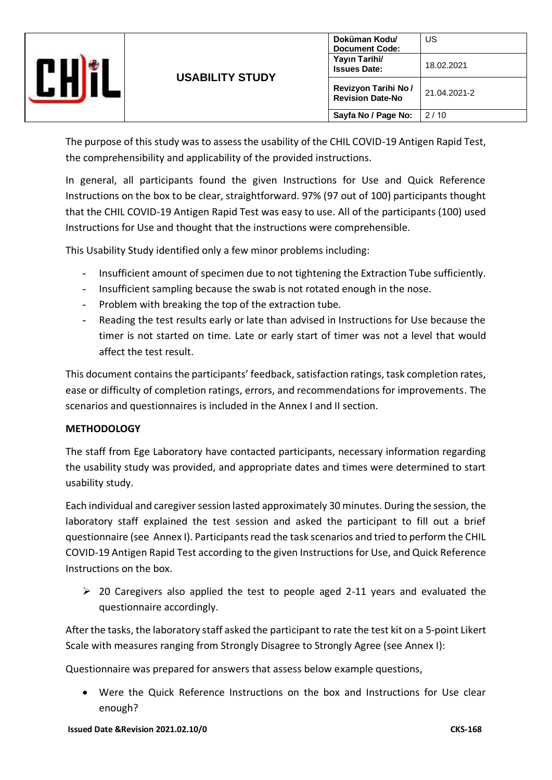|  | <b>USABILITY STUDY</b> | Doküman Kodu/<br><b>Document Code:</b><br>Yayın Tarihi/<br><b>Issues Date:</b> | US<br>18.02.2021 |
|--|------------------------|--------------------------------------------------------------------------------|------------------|
|  |                        | Revizyon Tarihi No /<br><b>Revision Date-No</b>                                | 21.04.2021-2     |
|  |                        | Sayfa No / Page No:                                                            | 2/10             |

The purpose of this study was to assess the usability of the CHIL COVID-19 Antigen Rapid Test, the comprehensibility and applicability of the provided instructions.

In general, all participants found the given Instructions for Use and Quick Reference Instructions on the box to be clear, straightforward. 97% (97 out of 100) participants thought that the CHIL COVID-19 Antigen Rapid Test was easy to use. All of the participants (100) used Instructions for Use and thought that the instructions were comprehensible.

This Usability Study identified only a few minor problems including:

- Insufficient amount of specimen due to not tightening the Extraction Tube sufficiently.
- Insufficient sampling because the swab is not rotated enough in the nose.
- Problem with breaking the top of the extraction tube.
- Reading the test results early or late than advised in Instructions for Use because the timer is not started on time. Late or early start of timer was not a level that would affect the test result.

This document contains the participants' feedback, satisfaction ratings, task completion rates, ease or difficulty of completion ratings, errors, and recommendations for improvements. The scenarios and questionnaires is included in the Annex I and II section.

#### **METHODOLOGY**

The staff from Ege Laboratory have contacted participants, necessary information regarding the usability study was provided, and appropriate dates and times were determined to start usability study.

Each individual and caregiver session lasted approximately 30 minutes. During the session, the laboratory staff explained the test session and asked the participant to fill out a brief questionnaire (see Annex I). Participants read the task scenarios and tried to perform the CHIL COVID-19 Antigen Rapid Test according to the given Instructions for Use, and Quick Reference Instructions on the box.

 $\geq$  20 Caregivers also applied the test to people aged 2-11 years and evaluated the questionnaire accordingly.

After the tasks, the laboratory staff asked the participant to rate the test kit on a 5-point Likert Scale with measures ranging from Strongly Disagree to Strongly Agree (see Annex I):

Questionnaire was prepared for answers that assess below example questions,

• Were the Quick Reference Instructions on the box and Instructions for Use clear enough?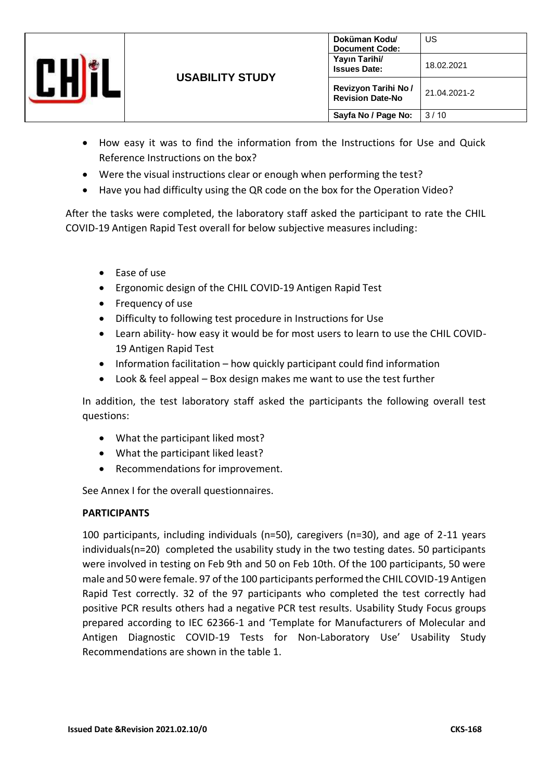

- How easy it was to find the information from the Instructions for Use and Quick Reference Instructions on the box?
- Were the visual instructions clear or enough when performing the test?
- Have you had difficulty using the QR code on the box for the Operation Video?

After the tasks were completed, the laboratory staff asked the participant to rate the CHIL COVID-19 Antigen Rapid Test overall for below subjective measures including:

- Ease of use
- Ergonomic design of the CHIL COVID-19 Antigen Rapid Test
- Frequency of use
- Difficulty to following test procedure in Instructions for Use
- Learn ability- how easy it would be for most users to learn to use the CHIL COVID-19 Antigen Rapid Test
- Information facilitation how quickly participant could find information
- Look & feel appeal Box design makes me want to use the test further

In addition, the test laboratory staff asked the participants the following overall test questions:

- What the participant liked most?
- What the participant liked least?
- Recommendations for improvement.

See Annex I for the overall questionnaires.

#### **PARTICIPANTS**

100 participants, including individuals (n=50), caregivers (n=30), and age of 2-11 years individuals(n=20) completed the usability study in the two testing dates. 50 participants were involved in testing on Feb 9th and 50 on Feb 10th. Of the 100 participants, 50 were male and 50 were female. 97 of the 100 participants performed the CHIL COVID-19 Antigen Rapid Test correctly. 32 of the 97 participants who completed the test correctly had positive PCR results others had a negative PCR test results. Usability Study Focus groups prepared according to IEC 62366-1 and 'Template for Manufacturers of Molecular and Antigen Diagnostic COVID-19 Tests for Non-Laboratory Use' Usability Study Recommendations are shown in the table 1.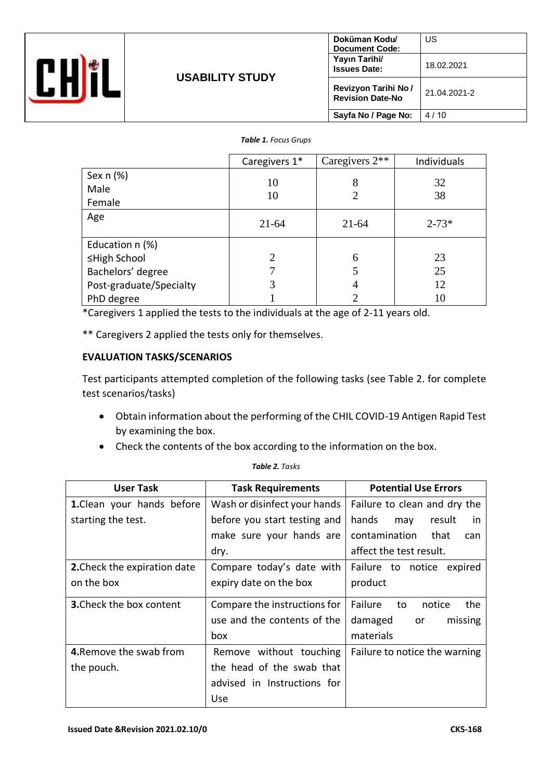

#### *Table 1. Focus Grups*

|                         | Caregivers 1*               | Caregivers $2**$ | Individuals |
|-------------------------|-----------------------------|------------------|-------------|
| Sex $n$ (%)             | 10                          | 8                | 32          |
| Male                    | 10                          | 2                | 38          |
| Female                  |                             |                  |             |
| Age                     | $21 - 64$                   | $21 - 64$        | $2 - 73*$   |
| Education n (%)         |                             |                  |             |
| ≤High School            | $\mathcal{D}_{\mathcal{L}}$ | 6                | 23          |
| Bachelors' degree       |                             | 5                | 25          |
| Post-graduate/Specialty | 3                           | 4                | 12          |
| PhD degree              |                             | ◠                | 10          |

\*Caregivers 1 applied the tests to the individuals at the age of 2-11 years old.

\*\* Caregivers 2 applied the tests only for themselves.

#### **EVALUATION TASKS/SCENARIOS**

Test participants attempted completion of the following tasks (see Table 2. for complete test scenarios/tasks)

- Obtain information about the performing of the CHIL COVID-19 Antigen Rapid Test by examining the box.
- Check the contents of the box according to the information on the box.

| User Task                       | <b>Task Requirements</b>     | <b>Potential Use Errors</b>    |  |
|---------------------------------|------------------------------|--------------------------------|--|
| 1. Clean your hands before      | Wash or disinfect your hands | Failure to clean and dry the   |  |
| starting the test.              | before you start testing and | hands<br>result<br>in.<br>may  |  |
|                                 | make sure your hands are     | contamination<br>that<br>can   |  |
|                                 | dry.                         | affect the test result.        |  |
| 2. Check the expiration date    | Compare today's date with    | Failure to notice<br>expired   |  |
| on the box                      | expiry date on the box       | product                        |  |
| <b>3.</b> Check the box content | Compare the instructions for | Failure<br>the<br>notice<br>to |  |
|                                 | use and the contents of the  | damaged<br>missing<br>or       |  |
|                                 | box                          | materials                      |  |
| 4. Remove the swab from         | Remove without touching      | Failure to notice the warning  |  |
| the pouch.                      | the head of the swab that    |                                |  |
|                                 | advised in Instructions for  |                                |  |
|                                 | Use                          |                                |  |

#### *Table 2. Tasks*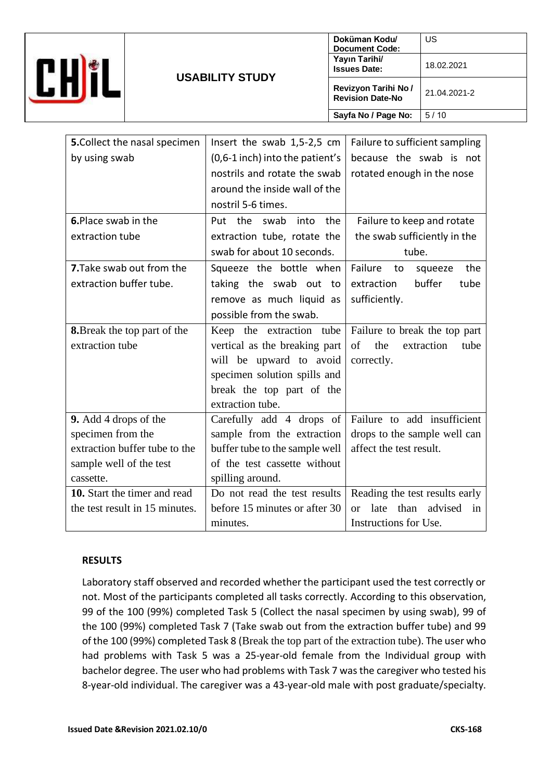

| <b>5.</b> Collect the nasal specimen | Insert the swab 1,5-2,5 cm      | Failure to sufficient sampling              |  |  |
|--------------------------------------|---------------------------------|---------------------------------------------|--|--|
| by using swab                        | (0,6-1 inch) into the patient's | because the swab is not                     |  |  |
|                                      | nostrils and rotate the swab    | rotated enough in the nose                  |  |  |
|                                      | around the inside wall of the   |                                             |  |  |
|                                      | nostril 5-6 times.              |                                             |  |  |
| 6. Place swab in the                 | Put the<br>into the<br>swab     | Failure to keep and rotate                  |  |  |
| extraction tube                      | extraction tube, rotate the     | the swab sufficiently in the                |  |  |
|                                      | swab for about 10 seconds.      | tube.                                       |  |  |
| 7. Take swab out from the            | Squeeze the bottle when         | Failure<br>the<br>to<br>squeeze             |  |  |
| extraction buffer tube.              | taking the swab out<br>to       | buffer<br>tube<br>extraction                |  |  |
|                                      | remove as much liquid as        | sufficiently.                               |  |  |
|                                      | possible from the swab.         |                                             |  |  |
| <b>8.</b> Break the top part of the  | Keep the extraction tube        | Failure to break the top part               |  |  |
| extraction tube                      | vertical as the breaking part   | of<br>the<br>extraction<br>tube             |  |  |
|                                      | will be upward to avoid         | correctly.                                  |  |  |
|                                      | specimen solution spills and    |                                             |  |  |
|                                      | break the top part of the       |                                             |  |  |
|                                      | extraction tube.                |                                             |  |  |
| 9. Add 4 drops of the                | Carefully add 4 drops of        | Failure to add insufficient                 |  |  |
| specimen from the                    | sample from the extraction      | drops to the sample well can                |  |  |
| extraction buffer tube to the        | buffer tube to the sample well  | affect the test result.                     |  |  |
| sample well of the test              | of the test cassette without    |                                             |  |  |
| cassette.                            | spilling around.                |                                             |  |  |
| 10. Start the timer and read         | Do not read the test results    | Reading the test results early              |  |  |
| the test result in 15 minutes.       | before 15 minutes or after 30   | advised<br>late<br>than<br>in<br>$\alpha$ r |  |  |
|                                      | minutes.                        | Instructions for Use.                       |  |  |

#### **RESULTS**

Laboratory staff observed and recorded whether the participant used the test correctly or not. Most of the participants completed all tasks correctly. According to this observation, 99 of the 100 (99%) completed Task 5 (Collect the nasal specimen by using swab), 99 of the 100 (99%) completed Task 7 (Take swab out from the extraction buffer tube) and 99 of the 100 (99%) completed Task 8 (Break the top part of the extraction tube). The user who had problems with Task 5 was a 25-year-old female from the Individual group with bachelor degree. The user who had problems with Task 7 was the caregiver who tested his 8-year-old individual. The caregiver was a 43-year-old male with post graduate/specialty.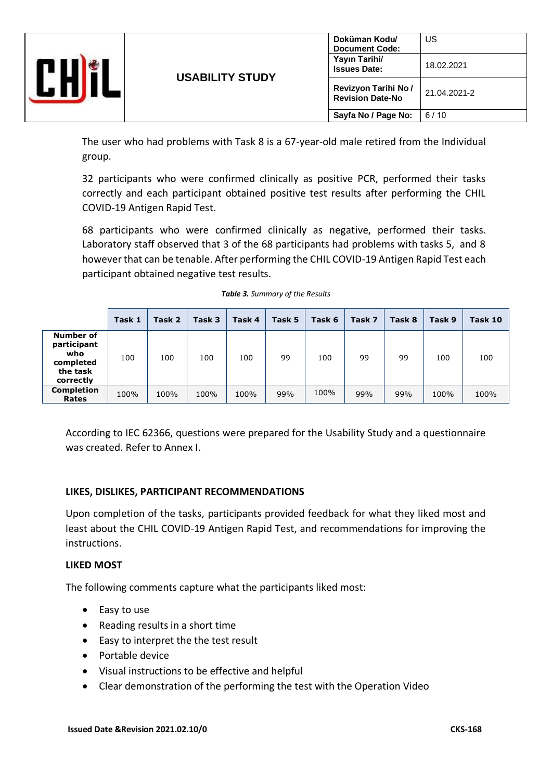

The user who had problems with Task 8 is a 67-year-old male retired from the Individual group.

32 participants who were confirmed clinically as positive PCR, performed their tasks correctly and each participant obtained positive test results after performing the CHIL COVID-19 Antigen Rapid Test.

68 participants who were confirmed clinically as negative, performed their tasks. Laboratory staff observed that 3 of the 68 participants had problems with tasks 5, and 8 however that can be tenable. After performing the CHIL COVID-19 Antigen Rapid Test each participant obtained negative test results.

|                                                                              | Task 1 | Task 2 | Task 3 | Task 4 | Task 5 | Task 6 | Task 7 | Task 8 | Task 9 | Task 10 |
|------------------------------------------------------------------------------|--------|--------|--------|--------|--------|--------|--------|--------|--------|---------|
| <b>Number of</b><br>participant<br>who<br>completed<br>the task<br>correctly | 100    | 100    | 100    | 100    | 99     | 100    | 99     | 99     | 100    | 100     |
| <b>Completion</b><br>Rates                                                   | 100%   | 100%   | 100%   | 100%   | 99%    | 100%   | 99%    | 99%    | 100%   | 100%    |

| Table 3. Summary of the Results |  |
|---------------------------------|--|
|---------------------------------|--|

According to IEC 62366, questions were prepared for the Usability Study and a questionnaire was created. Refer to Annex I.

#### **LIKES, DISLIKES, PARTICIPANT RECOMMENDATIONS**

Upon completion of the tasks, participants provided feedback for what they liked most and least about the CHIL COVID-19 Antigen Rapid Test, and recommendations for improving the instructions.

#### **LIKED MOST**

The following comments capture what the participants liked most:

- Easy to use
- Reading results in a short time
- Easy to interpret the the test result
- Portable device
- Visual instructions to be effective and helpful
- Clear demonstration of the performing the test with the Operation Video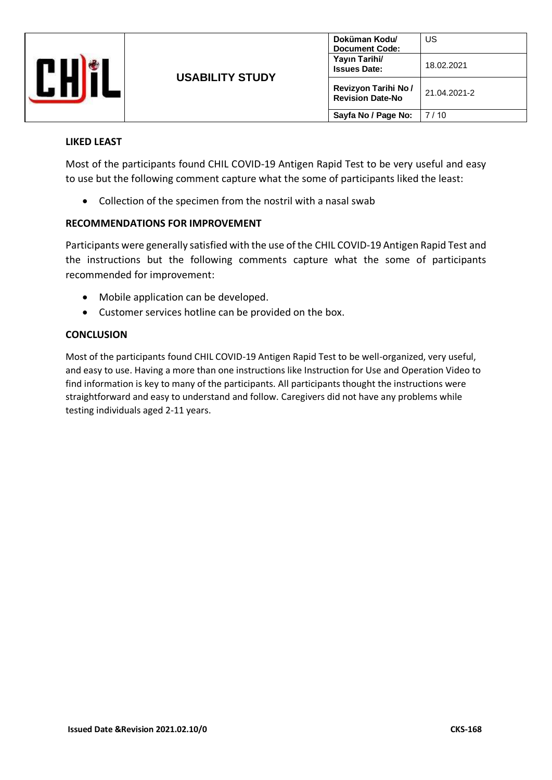

#### **LIKED LEAST**

Most of the participants found CHIL COVID-19 Antigen Rapid Test to be very useful and easy to use but the following comment capture what the some of participants liked the least:

• Collection of the specimen from the nostril with a nasal swab

#### **RECOMMENDATIONS FOR IMPROVEMENT**

Participants were generally satisfied with the use of the CHIL COVID-19 Antigen Rapid Test and the instructions but the following comments capture what the some of participants recommended for improvement:

- Mobile application can be developed.
- Customer services hotline can be provided on the box.

#### **CONCLUSION**

Most of the participants found CHIL COVID-19 Antigen Rapid Test to be well-organized, very useful, and easy to use. Having a more than one instructions like Instruction for Use and Operation Video to find information is key to many of the participants. All participants thought the instructions were straightforward and easy to understand and follow. Caregivers did not have any problems while testing individuals aged 2-11 years.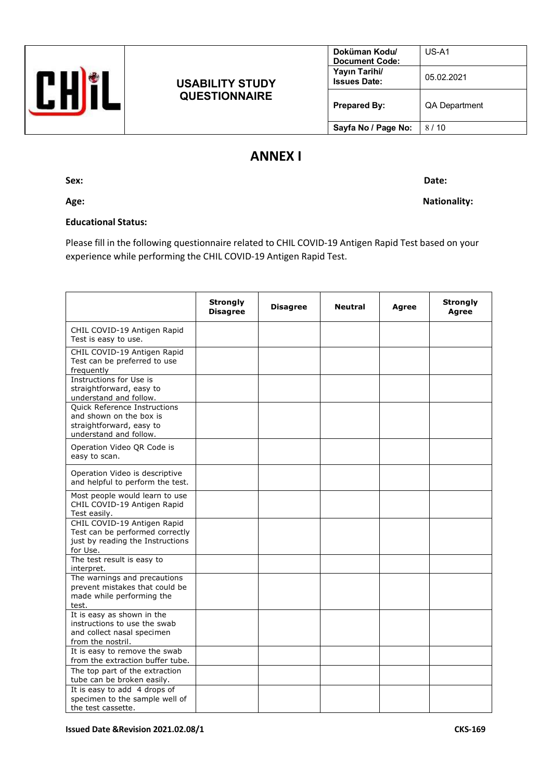### **USABILITY STUDY QUESTIONNAIRE**

| Doküman Kodu/<br><b>Document Code:</b> | $US-A1$              |
|----------------------------------------|----------------------|
| Yayın Tarihi/<br><b>Issues Date:</b>   | 05.02.2021           |
| <b>Prepared By:</b>                    | <b>QA Department</b> |
| Sayfa No / Page No:                    | 8 / 1 N              |

## **ANNEX I**

**Sex: Date:**

## Age: Nationality: Nationality: Nationality: Nationality: Nationality: Nationality: Nationality: Nationality: Nationality: Nationality: Nationality: Nationality: Nationality: Nationality: Nationality: Nationality: Nationali

#### **Educational Status:**

Please fill in the following questionnaire related to CHIL COVID-19 Antigen Rapid Test based on your experience while performing the CHIL COVID-19 Antigen Rapid Test.

|                                                                                                                      | <b>Strongly</b><br><b>Disagree</b> | <b>Disagree</b> | <b>Neutral</b> | Agree | <b>Strongly</b><br>Agree |
|----------------------------------------------------------------------------------------------------------------------|------------------------------------|-----------------|----------------|-------|--------------------------|
| CHIL COVID-19 Antigen Rapid<br>Test is easy to use.                                                                  |                                    |                 |                |       |                          |
| CHIL COVID-19 Antigen Rapid<br>Test can be preferred to use<br>frequently                                            |                                    |                 |                |       |                          |
| Instructions for Use is<br>straightforward, easy to<br>understand and follow.                                        |                                    |                 |                |       |                          |
| <b>Ouick Reference Instructions</b><br>and shown on the box is<br>straightforward, easy to<br>understand and follow. |                                    |                 |                |       |                          |
| Operation Video QR Code is<br>easy to scan.                                                                          |                                    |                 |                |       |                          |
| Operation Video is descriptive<br>and helpful to perform the test.                                                   |                                    |                 |                |       |                          |
| Most people would learn to use<br>CHIL COVID-19 Antigen Rapid<br>Test easily.                                        |                                    |                 |                |       |                          |
| CHIL COVID-19 Antigen Rapid<br>Test can be performed correctly<br>just by reading the Instructions<br>for Use.       |                                    |                 |                |       |                          |
| The test result is easy to<br>interpret.                                                                             |                                    |                 |                |       |                          |
| The warnings and precautions<br>prevent mistakes that could be<br>made while performing the<br>test.                 |                                    |                 |                |       |                          |
| It is easy as shown in the<br>instructions to use the swab<br>and collect nasal specimen<br>from the nostril.        |                                    |                 |                |       |                          |
| It is easy to remove the swab<br>from the extraction buffer tube.                                                    |                                    |                 |                |       |                          |
| The top part of the extraction<br>tube can be broken easily.                                                         |                                    |                 |                |       |                          |
| It is easy to add 4 drops of<br>specimen to the sample well of<br>the test cassette.                                 |                                    |                 |                |       |                          |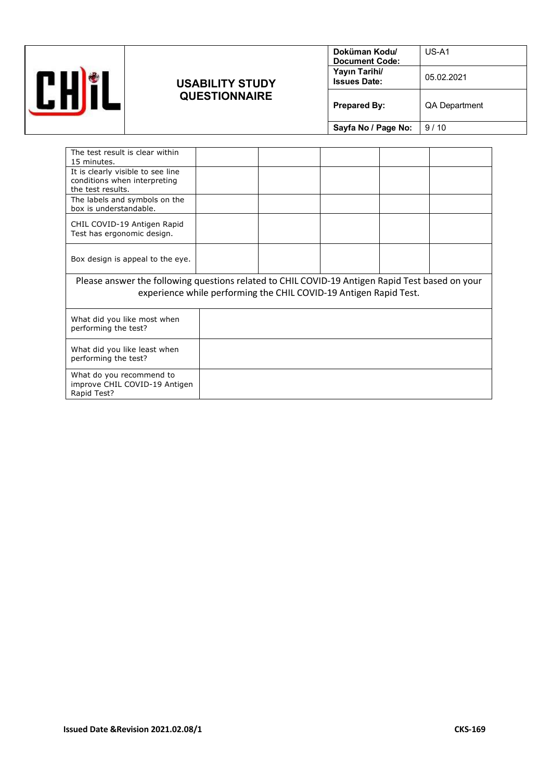

### **USABILITY STUDY QUESTIONNAIRE**

| Doküman Kodu/<br><b>Document Code:</b> | $US-A1$              |
|----------------------------------------|----------------------|
| Yayın Tarihi/<br><b>Issues Date:</b>   | 05.02.2021           |
| <b>Prepared By:</b>                    | <b>QA Department</b> |
| Sayfa No / Page No:                    | 9/10                 |
|                                        |                      |

| The test result is clear within<br>15 minutes.                                                                                                                       |  |  |  |  |  |
|----------------------------------------------------------------------------------------------------------------------------------------------------------------------|--|--|--|--|--|
| It is clearly visible to see line<br>conditions when interpreting<br>the test results.                                                                               |  |  |  |  |  |
| The labels and symbols on the<br>box is understandable.                                                                                                              |  |  |  |  |  |
| CHIL COVID-19 Antigen Rapid<br>Test has ergonomic design.                                                                                                            |  |  |  |  |  |
| Box design is appeal to the eye.                                                                                                                                     |  |  |  |  |  |
| Please answer the following questions related to CHIL COVID-19 Antigen Rapid Test based on your<br>experience while performing the CHIL COVID-19 Antigen Rapid Test. |  |  |  |  |  |
| What did you like most when<br>performing the test?                                                                                                                  |  |  |  |  |  |
| What did you like least when<br>performing the test?                                                                                                                 |  |  |  |  |  |
| What do you recommend to<br>improve CHIL COVID-19 Antigen<br>Rapid Test?                                                                                             |  |  |  |  |  |